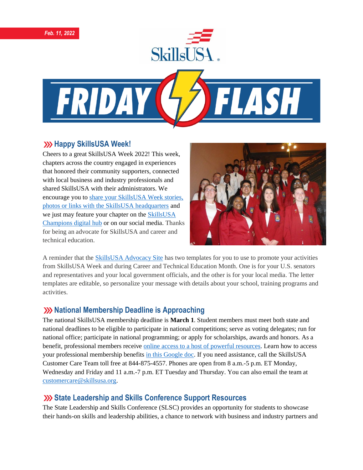



#### **XXX Happy SkillsUSA Week!**

Cheers to a great SkillsUSA Week 2022! This week, chapters across the country engaged in experiences that honored their community supporters, connected with local business and industry professionals and shared SkillsUSA with their administrators. We encourage you t[o share your SkillsUSA Week stories,](https://skillsusachampions.org/submit-a-story/)  [photos or links with the SkillsUSA headquarters](https://skillsusachampions.org/submit-a-story/) and we just may feature your chapter on the [SkillsUSA](http://champions.skillsusa.org/)  [Champions digital hub](http://champions.skillsusa.org/) or on our social media. Thanks for being an advocate for SkillsUSA and career and technical education.



A reminder that the [SkillsUSA Advocacy Site](https://www.congressweb.com/susa/#/) has two templates for you to use to promote your activities from SkillsUSA Week and during Career and Technical Education Month. One is for your U.S. senators and representatives and your local government officials, and the other is for your local media. The letter templates are editable, so personalize your message with details about your school, training programs and activities.

### **XX** National Membership Deadline is Approaching

The national SkillsUSA membership deadline is **March 1**. Student members must meet both state and national deadlines to be eligible to participate in national competitions; serve as voting delegates; run for national office; participate in national programming; or apply for scholarships, awards and honors. As a benefit, professional members receive [online access to a host of powerful resources.](https://www.skillsusa.org/accordions/benefits-of-membership/) Learn how to access your professional membership benefits [in this Google doc.](https://docs.google.com/document/d/1d2EvwsmdelNzm-WK7pTGSokJTbWZXcFDOODai32SGzk/edit) If you need assistance, call the SkillsUSA Customer Care Team toll free at 844-875-4557. Phones are open from 8 a.m.-5 p.m. ET Monday, Wednesday and Friday and 11 a.m.-7 p.m. ET Tuesday and Thursday. You can also email the team at [customercare@skillsusa.org.](mailto:customercare@skillsusa.org)

### **State Leadership and Skills Conference Support Resources**

The State Leadership and Skills Conference (SLSC) provides an opportunity for students to showcase their hands-on skills and leadership abilities, a chance to network with business and industry partners and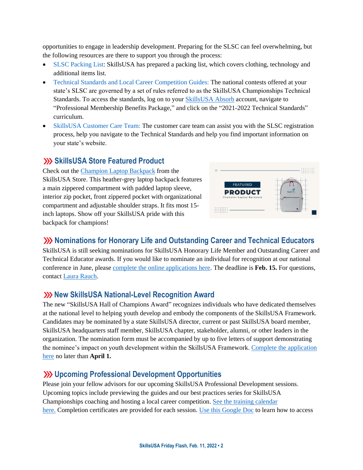opportunities to engage in leadership development. Preparing for the SLSC can feel overwhelming, but the following resources are there to support you through the process:

- [SLSC Packing List:](https://skillsusaorg-my.sharepoint.com/:b:/g/personal/jsewell_skillsusa_org/EZLxPckZ2q9Pox8FiilVW_IBEVnyFZplNx5YGLbfpbAllw?e=PcvK9L) SkillsUSA has prepared a packing list, which covers clothing, technology and additional items list.
- [Technical Standards and Local Career Competition Guides:](https://absorb.skillsusa.org/#/dashboard) The national contests offered at your state's SLSC are governed by a set of rules referred to as the SkillsUSA Championships Technical Standards. To access the standards, log on to you[r SkillsUSA Absorb](http://absorb.skillsusa.org/) account, navigate to "Professional Membership Benefits Package," and click on the "2021-2022 Technical Standards" curriculum.
- [SkillsUSA Customer Care Team:](https://www.skillsusa.org/membership-resources/customer-care/) The customer care team can assist you with the SLSC registration process, help you navigate to the Technical Standards and help you find important information on your state's website.

#### **SKILLSA Store Featured Product**

Check out the [Champion Laptop Backpack](https://skillsusastore.mybrightsites.com/products/775086) from the SkillsUSA Store. This heather-grey laptop backpack features a main zippered compartment with padded laptop sleeve, interior zip pocket, front zippered pocket with organizational compartment and adjustable shoulder straps. It fits most 15 inch laptops. Show off your SkillsUSA pride with this backpack for champions!



### **W** Nominations for Honorary Life and Outstanding Career and Technical Educators

SkillsUSA is still seeking nominations for SkillsUSA Honorary Life Member and Outstanding Career and Technical Educator awards. If you would like to nominate an individual for recognition at our national conference in June, please [complete the online applications here.](https://www.skillsusa.org/membership-resources/awards/) The deadline is **Feb. 15.** For questions, contac[t Laura Rauch.](mailto:lrauch@skillsusa.org)

### **XX New SkillsUSA National-Level Recognition Award**

The new "SkillsUSA Hall of Champions Award" recognizes individuals who have dedicated themselves at the national level to helping youth develop and embody the components of the SkillsUSA Framework. Candidates may be nominated by a state SkillsUSA director, current or past SkillsUSA board member, SkillsUSA headquarters staff member, SkillsUSA chapter, stakeholder, alumni, or other leaders in the organization. The nomination form must be accompanied by up to five letters of support demonstrating the nominee's impact on youth development within the SkillsUSA Framework[. Complete the application](https://skillsusa.wufoo.com/forms/skillsusa-hall-of-champions-award/)  [here](https://skillsusa.wufoo.com/forms/skillsusa-hall-of-champions-award/) no later than **April 1.**

### **Upcoming Professional Development Opportunities**

Please join your fellow advisors for our upcoming SkillsUSA Professional Development sessions. Upcoming topics include previewing the guides and our best practices series for SkillsUSA Championships coaching and hosting a local career competition. [See the training calendar](https://www.skillsusa.org/events-training/)  [here.](https://www.skillsusa.org/events-training/) Completion certificates are provided for each session. [Use this Google Doc](https://docs.google.com/document/d/1d2EvwsmdelNzm-WK7pTGSokJTbWZXcFDOODai32SGzk/edit) to learn how to access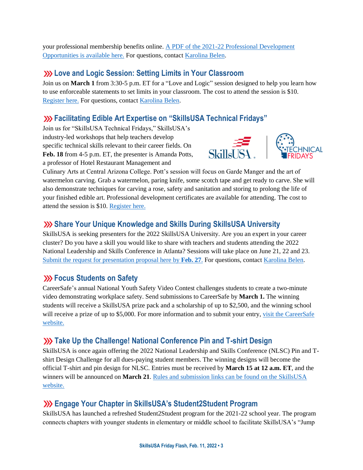your professional membership benefits online. [A PDF of the 2021-22 Professional Development](https://www.skillsusa.org/wp-content/uploads/2021/09/SkillsUSA-2021-Professional-Development-Opportunities-v9.pdf)  [Opportunities is available here.](https://www.skillsusa.org/wp-content/uploads/2021/09/SkillsUSA-2021-Professional-Development-Opportunities-v9.pdf) For questions, contact [Karolina Belen.](mailto:kbelen@skillsusa.org)

## **Love and Logic Session: Setting Limits in Your Classroom**

Join us on **March 1** from 3:30-5 p.m. ET for a "Love and Logic" session designed to help you learn how to use enforceable statements to set limits in your classroom. The cost to attend the session is \$10. [Register here.](https://skillsusa.wufoo.com/forms/love-and-logic-and-technical-fridays-registration) For questions, contact [Karolina Belen.](mailto:kbelen@skillsusa.org)

# **Facilitating Edible Art Expertise on "SkillsUSA Technical Fridays"**

Join us for "SkillsUSA Technical Fridays," SkillsUSA's industry-led workshops that help teachers develop specific technical skills relevant to their career fields. On **Feb. 18** from 4-5 p.m. ET, the presenter is Amanda Potts, a professor of Hotel Restaurant Management and





Culinary Arts at Central Arizona College. Pott's session will focus on Garde Manger and the art of watermelon carving. Grab a watermelon, paring knife, some scotch tape and get ready to carve. She will also demonstrate techniques for carving a rose, safety and sanitation and storing to prolong the life of your finished edible art. Professional development certificates are available for attending. The cost to attend the session is \$10. [Register here.](https://skillsusa.wufoo.com/forms/love-and-logic-and-technical-fridays-registration)

### **Share Your Unique Knowledge and Skills During SkillsUSA University**

SkillsUSA is seeking presenters for the 2022 SkillsUSA University. Are you an expert in your career cluster? Do you have a skill you would like to share with teachers and students attending the 2022 National Leadership and Skills Conference in Atlanta? Sessions will take place on June 21, 22 and 23. [Submit the request for presentation proposal here by](https://docs.google.com/forms/d/e/1FAIpQLSdAZNVdpwIoexVeA84Wenhjh0g0_3Km2r7RtNXo6B02Btl1DQ/viewform) **Feb. 27**. For questions, contac[t Karolina Belen.](mailto:kbelen@skillsusa.org)

### **EXECUS** Students on Safety

CareerSafe's annual National Youth Safety Video Contest challenges students to create a two-minute video demonstrating workplace safety. Send submissions to CareerSafe by **March 1.** The winning students will receive a SkillsUSA prize pack and a scholarship of up to \$2,500, and the winning school will receive a prize of up to \$5,000. For more information and to submit your entry, visit the CareerSafe [website.](https://www.careersafeonline.com/scholarships/video-contest)

# **XX** Take Up the Challenge! National Conference Pin and T-shirt Design

SkillsUSA is once again offering the 2022 National Leadership and Skills Conference (NLSC) Pin and Tshirt Design Challenge for all dues-paying student members. The winning designs will become the official T-shirt and pin design for NLSC. Entries must be received by **March 15 at 12 a.m. ET**, and the winners will be announced on **March 21**[. Rules and submission links can be found on the SkillsUSA](https://www.skillsusa.org/competitions/pin-design-challenge/)  [website.](https://www.skillsusa.org/competitions/pin-design-challenge/)

# **Engage Your Chapter in SkillsUSA's Student2Student Program**

SkillsUSA has launched a refreshed Student2Student program for the 2021-22 school year. The program connects chapters with younger students in elementary or middle school to facilitate SkillsUSA's "Jump